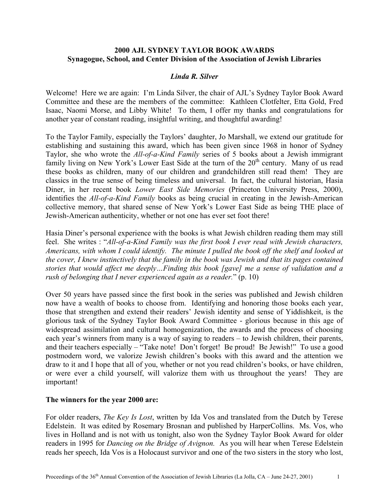### **2000 AJL SYDNEY TAYLOR BOOK AWARDS Synagogue, School, and Center Division of the Association of Jewish Libraries**

### *Linda R. Silver*

Welcome! Here we are again: I'm Linda Silver, the chair of AJL's Sydney Taylor Book Award Committee and these are the members of the committee: Kathleen Clotfelter, Etta Gold, Fred Isaac, Naomi Morse, and Libby White! To them, I offer my thanks and congratulations for another year of constant reading, insightful writing, and thoughtful awarding!

To the Taylor Family, especially the Taylors' daughter, Jo Marshall, we extend our gratitude for establishing and sustaining this award, which has been given since 1968 in honor of Sydney Taylor, she who wrote the *All-of-a-Kind Family* series of 5 books about a Jewish immigrant family living on New York's Lower East Side at the turn of the 20<sup>th</sup> century. Many of us read these books as children, many of our children and grandchildren still read them! They are classics in the true sense of being timeless and universal. In fact, the cultural historian, Hasia Diner, in her recent book *Lower East Side Memories* (Princeton University Press, 2000), identifies the *All-of-a-Kind Family* books as being crucial in creating in the Jewish-American collective memory, that shared sense of New York's Lower East Side as being THE place of Jewish-American authenticity, whether or not one has ever set foot there!

Hasia Diner's personal experience with the books is what Jewish children reading them may still feel. She writes : "*All-of-a-Kind Family was the first book I ever read with Jewish characters, Americans, with whom I could identify. The minute I pulled the book off the shelf and looked at the cover, I knew instinctively that the family in the book was Jewish and that its pages contained stories that would affect me deeply…Finding this book [gave] me a sense of validation and a rush of belonging that I never experienced again as a reader.*" (p. 10)

Over 50 years have passed since the first book in the series was published and Jewish children now have a wealth of books to choose from. Identifying and honoring those books each year, those that strengthen and extend their readers' Jewish identity and sense of Yiddishkeit, is the glorious task of the Sydney Taylor Book Award Committee - glorious because in this age of widespread assimilation and cultural homogenization, the awards and the process of choosing each year's winners from many is a way of saying to readers – to Jewish children, their parents, and their teachers especially – "Take note! Don't forget! Be proud! Be Jewish!" To use a good postmodern word, we valorize Jewish children's books with this award and the attention we draw to it and I hope that all of you, whether or not you read children's books, or have children, or were ever a child yourself, will valorize them with us throughout the years! They are important!

### **The winners for the year 2000 are:**

For older readers, *The Key Is Lost*, written by Ida Vos and translated from the Dutch by Terese Edelstein. It was edited by Rosemary Brosnan and published by HarperCollins. Ms. Vos, who lives in Holland and is not with us tonight, also won the Sydney Taylor Book Award for older readers in 1995 for *Dancing on the Bridge of Avignon.* As you will hear when Terese Edelstein reads her speech, Ida Vos is a Holocaust survivor and one of the two sisters in the story who lost,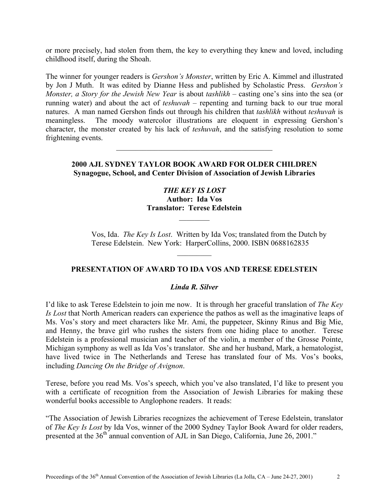or more precisely, had stolen from them, the key to everything they knew and loved, including childhood itself, during the Shoah.

The winner for younger readers is *Gershon's Monster*, written by Eric A. Kimmel and illustrated by Jon J Muth. It was edited by Dianne Hess and published by Scholastic Press. *Gershon's Monster, a Story for the Jewish New Year* is about *tashlikh* – casting one's sins into the sea (or running water) and about the act of *teshuvah* – repenting and turning back to our true moral natures. A man named Gershon finds out through his children that *tashlikh* without *teshuvah* is meaningless. The moody watercolor illustrations are eloquent in expressing Gershon's character, the monster created by his lack of *teshuvah*, and the satisfying resolution to some frightening events.

### **2000 AJL SYDNEY TAYLOR BOOK AWARD FOR OLDER CHILDREN Synagogue, School, and Center Division of Association of Jewish Libraries**

 $\mathcal{L}_\text{max}$  , and the set of the set of the set of the set of the set of the set of the set of the set of the set of the set of the set of the set of the set of the set of the set of the set of the set of the set of the

# *THE KEY IS LOST*  **Author: Ida Vos Translator: Terese Edelstein**   $\mathcal{L}_\text{max}$

Vos, Ida. *The Key Is Lost*. Written by Ida Vos; translated from the Dutch by Terese Edelstein. New York: HarperCollins, 2000. ISBN 0688162835

# **PRESENTATION OF AWARD TO IDA VOS AND TERESE EDELSTEIN**

 $\frac{1}{2}$ 

### *Linda R. Silver*

I'd like to ask Terese Edelstein to join me now. It is through her graceful translation of *The Key Is Lost* that North American readers can experience the pathos as well as the imaginative leaps of Ms. Vos's story and meet characters like Mr. Ami, the puppeteer, Skinny Rinus and Big Mie, and Henny, the brave girl who rushes the sisters from one hiding place to another. Terese Edelstein is a professional musician and teacher of the violin, a member of the Grosse Pointe, Michigan symphony as well as Ida Vos's translator. She and her husband, Mark, a hematologist, have lived twice in The Netherlands and Terese has translated four of Ms. Vos's books, including *Dancing On the Bridge of Avignon*.

Terese, before you read Ms. Vos's speech, which you've also translated, I'd like to present you with a certificate of recognition from the Association of Jewish Libraries for making these wonderful books accessible to Anglophone readers. It reads:

"The Association of Jewish Libraries recognizes the achievement of Terese Edelstein, translator of *The Key Is Lost* by Ida Vos, winner of the 2000 Sydney Taylor Book Award for older readers, presented at the 36<sup>th</sup> annual convention of AJL in San Diego, California, June 26, 2001."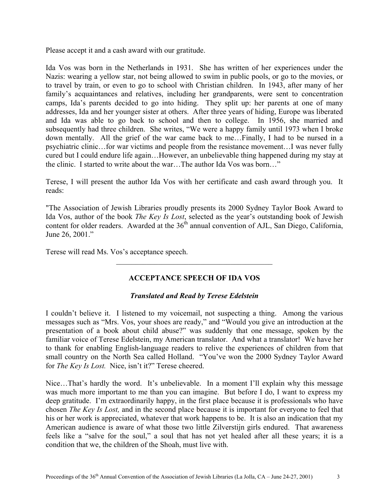Please accept it and a cash award with our gratitude.

Ida Vos was born in the Netherlands in 1931. She has written of her experiences under the Nazis: wearing a yellow star, not being allowed to swim in public pools, or go to the movies, or to travel by train, or even to go to school with Christian children. In 1943, after many of her family's acquaintances and relatives, including her grandparents, were sent to concentration camps, Ida's parents decided to go into hiding. They split up: her parents at one of many addresses, Ida and her younger sister at others. After three years of hiding, Europe was liberated and Ida was able to go back to school and then to college. In 1956, she married and subsequently had three children. She writes, "We were a happy family until 1973 when I broke down mentally. All the grief of the war came back to me…Finally, I had to be nursed in a psychiatric clinic…for war victims and people from the resistance movement…I was never fully cured but I could endure life again…However, an unbelievable thing happened during my stay at the clinic. I started to write about the war…The author Ida Vos was born…"

Terese, I will present the author Ida Vos with her certificate and cash award through you. It reads:

"The Association of Jewish Libraries proudly presents its 2000 Sydney Taylor Book Award to Ida Vos, author of the book *The Key Is Lost*, selected as the year's outstanding book of Jewish content for older readers. Awarded at the  $36<sup>th</sup>$  annual convention of AJL, San Diego, California, June 26, 2001."

Terese will read Ms. Vos's acceptance speech.

### **ACCEPTANCE SPEECH OF IDA VOS**

 $\mathcal{L}_\text{max}$ 

### *Translated and Read by Terese Edelstein*

I couldn't believe it. I listened to my voicemail, not suspecting a thing. Among the various messages such as "Mrs. Vos, your shoes are ready," and "Would you give an introduction at the presentation of a book about child abuse?" was suddenly that one message, spoken by the familiar voice of Terese Edelstein, my American translator. And what a translator! We have her to thank for enabling English-language readers to relive the experiences of children from that small country on the North Sea called Holland. "You've won the 2000 Sydney Taylor Award for *The Key Is Lost.* Nice, isn't it?" Terese cheered.

Nice…That's hardly the word. It's unbelievable. In a moment I'll explain why this message was much more important to me than you can imagine. But before I do, I want to express my deep gratitude. I'm extraordinarily happy, in the first place because it is professionals who have chosen *The Key Is Lost,* and in the second place because it is important for everyone to feel that his or her work is appreciated, whatever that work happens to be. It is also an indication that my American audience is aware of what those two little Zilverstijn girls endured. That awareness feels like a "salve for the soul," a soul that has not yet healed after all these years; it is a condition that we, the children of the Shoah, must live with.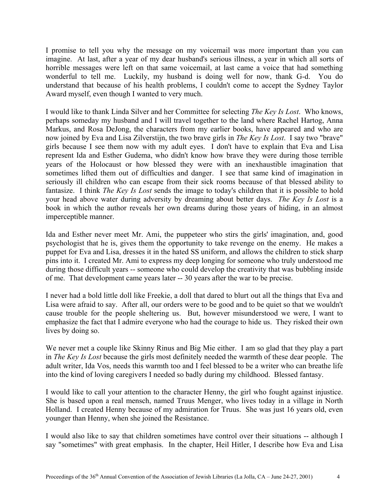I promise to tell you why the message on my voicemail was more important than you can imagine. At last, after a year of my dear husband's serious illness, a year in which all sorts of horrible messages were left on that same voicemail, at last came a voice that had something wonderful to tell me. Luckily, my husband is doing well for now, thank G-d. You do understand that because of his health problems, I couldn't come to accept the Sydney Taylor Award myself, even though I wanted to very much.

I would like to thank Linda Silver and her Committee for selecting *The Key Is Lost*. Who knows, perhaps someday my husband and I will travel together to the land where Rachel Hartog, Anna Markus, and Rosa DeJong, the characters from my earlier books, have appeared and who are now joined by Eva and Lisa Zilverstijn, the two brave girls in *The Key Is Lost*. I say two "brave" girls because I see them now with my adult eyes. I don't have to explain that Eva and Lisa represent Ida and Esther Gudema, who didn't know how brave they were during those terrible years of the Holocaust or how blessed they were with an inexhaustible imagination that sometimes lifted them out of difficulties and danger. I see that same kind of imagination in seriously ill children who can escape from their sick rooms because of that blessed ability to fantasize. I think *The Key Is Lost* sends the image to today's children that it is possible to hold your head above water during adversity by dreaming about better days. *The Key Is Lost* is a book in which the author reveals her own dreams during those years of hiding, in an almost imperceptible manner.

Ida and Esther never meet Mr. Ami, the puppeteer who stirs the girls' imagination, and, good psychologist that he is, gives them the opportunity to take revenge on the enemy. He makes a puppet for Eva and Lisa, dresses it in the hated SS uniform, and allows the children to stick sharp pins into it. I created Mr. Ami to express my deep longing for someone who truly understood me during those difficult years -- someone who could develop the creativity that was bubbling inside of me. That development came years later -- 30 years after the war to be precise.

I never had a bold little doll like Freekie, a doll that dared to blurt out all the things that Eva and Lisa were afraid to say. After all, our orders were to be good and to be quiet so that we wouldn't cause trouble for the people sheltering us. But, however misunderstood we were, I want to emphasize the fact that I admire everyone who had the courage to hide us. They risked their own lives by doing so.

We never met a couple like Skinny Rinus and Big Mie either. I am so glad that they play a part in *The Key Is Lost* because the girls most definitely needed the warmth of these dear people. The adult writer, Ida Vos, needs this warmth too and I feel blessed to be a writer who can breathe life into the kind of loving caregivers I needed so badly during my childhood. Blessed fantasy.

I would like to call your attention to the character Henny, the girl who fought against injustice. She is based upon a real mensch, named Truus Menger, who lives today in a village in North Holland. I created Henny because of my admiration for Truus. She was just 16 years old, even younger than Henny, when she joined the Resistance.

I would also like to say that children sometimes have control over their situations -- although I say "sometimes" with great emphasis. In the chapter, Heil Hitler, I describe how Eva and Lisa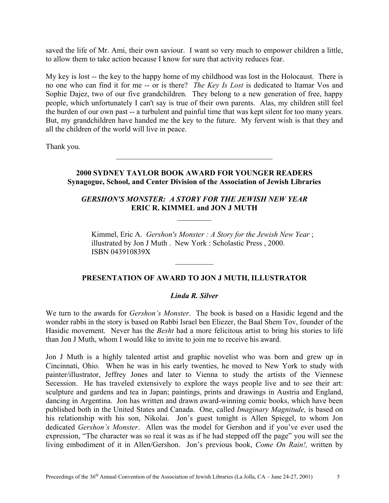saved the life of Mr. Ami, their own saviour. I want so very much to empower children a little, to allow them to take action because I know for sure that activity reduces fear.

My key is lost -- the key to the happy home of my childhood was lost in the Holocaust. There is no one who can find it for me -- or is there? *The Key Is Lost* is dedicated to Itamar Vos and Sophie Dajez, two of our five grandchildren. They belong to a new generation of free, happy people, which unfortunately I can't say is true of their own parents. Alas, my children still feel the burden of our own past -- a turbulent and painful time that was kept silent for too many years. But, my grandchildren have handed me the key to the future. My fervent wish is that they and all the children of the world will live in peace.

Thank you.

## **2000 SYDNEY TAYLOR BOOK AWARD FOR YOUNGER READERS Synagogue, School, and Center Division of the Association of Jewish Libraries**

\_\_\_\_\_\_\_\_\_\_\_\_\_\_\_\_\_\_\_\_\_\_\_\_\_\_\_\_\_\_\_\_\_\_\_\_\_\_\_\_\_

## *GERSHON'S MONSTER: A STORY FOR THE JEWISH NEW YEAR*  **ERIC R. KIMMEL and JON J MUTH**

 $\mathcal{L}_\text{max}$ 

Kimmel, Eric A. *Gershon's Monster : A Story for the Jewish New Year* ; illustrated by Jon J Muth . New York : Scholastic Press , 2000. ISBN 043910839X

# **PRESENTATION OF AWARD TO JON J MUTH, ILLUSTRATOR**

 $\mathcal{L}_\text{max}$ 

### *Linda R. Silver*

We turn to the awards for *Gershon's Monster*. The book is based on a Hasidic legend and the wonder rabbi in the story is based on Rabbi Israel ben Eliezer, the Baal Shem Tov, founder of the Hasidic movement. Never has the *Besht* had a more felicitous artist to bring his stories to life than Jon J Muth, whom I would like to invite to join me to receive his award.

Jon J Muth is a highly talented artist and graphic novelist who was born and grew up in Cincinnati, Ohio. When he was in his early twenties, he moved to New York to study with painter/illustrator, Jeffrey Jones and later to Vienna to study the artists of the Viennese Secession. He has traveled extensively to explore the ways people live and to see their art: sculpture and gardens and tea in Japan; paintings, prints and drawings in Austria and England, dancing in Argentina. Jon has written and drawn award-winning comic books, which have been published both in the United States and Canada. One, called *Imaginary Magnitude,* is based on his relationship with his son, Nikolai. Jon's guest tonight is Allen Spiegel, to whom Jon dedicated *Gershon's Monster*. Allen was the model for Gershon and if you've ever used the expression, "The character was so real it was as if he had stepped off the page" you will see the living embodiment of it in Allen/Gershon. Jon's previous book, *Come On Rain!,* written by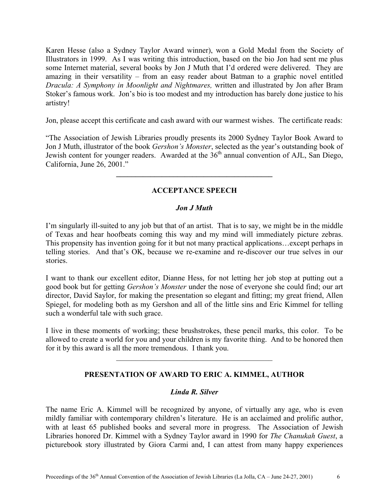Karen Hesse (also a Sydney Taylor Award winner), won a Gold Medal from the Society of Illustrators in 1999. As I was writing this introduction, based on the bio Jon had sent me plus some Internet material, several books by Jon J Muth that I'd ordered were delivered. They are amazing in their versatility – from an easy reader about Batman to a graphic novel entitled *Dracula: A Symphony in Moonlight and Nightmares,* written and illustrated by Jon after Bram Stoker's famous work. Jon's bio is too modest and my introduction has barely done justice to his artistry!

Jon, please accept this certificate and cash award with our warmest wishes. The certificate reads:

"The Association of Jewish Libraries proudly presents its 2000 Sydney Taylor Book Award to Jon J Muth, illustrator of the book *Gershon's Monster*, selected as the year's outstanding book of Jewish content for younger readers. Awarded at the 36<sup>th</sup> annual convention of AJL, San Diego, California, June 26, 2001."

# **ACCEPTANCE SPEECH**

**\_\_\_\_\_\_\_\_\_\_\_\_\_\_\_\_\_\_\_\_\_\_\_\_\_\_\_\_\_\_\_\_\_\_\_\_\_\_\_\_\_** 

### *Jon J Muth*

I'm singularly ill-suited to any job but that of an artist. That is to say, we might be in the middle of Texas and hear hoofbeats coming this way and my mind will immediately picture zebras. This propensity has invention going for it but not many practical applications…except perhaps in telling stories. And that's OK, because we re-examine and re-discover our true selves in our stories.

I want to thank our excellent editor, Dianne Hess, for not letting her job stop at putting out a good book but for getting *Gershon's Monster* under the nose of everyone she could find; our art director, David Saylor, for making the presentation so elegant and fitting; my great friend, Allen Spiegel, for modeling both as my Gershon and all of the little sins and Eric Kimmel for telling such a wonderful tale with such grace.

I live in these moments of working; these brushstrokes, these pencil marks, this color. To be allowed to create a world for you and your children is my favorite thing. And to be honored then for it by this award is all the more tremendous. I thank you.

 $\mathcal{L}_\text{max}$  , and the set of the set of the set of the set of the set of the set of the set of the set of the set of the set of the set of the set of the set of the set of the set of the set of the set of the set of the

### **PRESENTATION OF AWARD TO ERIC A. KIMMEL, AUTHOR**

### *Linda R. Silver*

The name Eric A. Kimmel will be recognized by anyone, of virtually any age, who is even mildly familiar with contemporary children's literature. He is an acclaimed and prolific author, with at least 65 published books and several more in progress. The Association of Jewish Libraries honored Dr. Kimmel with a Sydney Taylor award in 1990 for *The Chanukah Guest*, a picturebook story illustrated by Giora Carmi and, I can attest from many happy experiences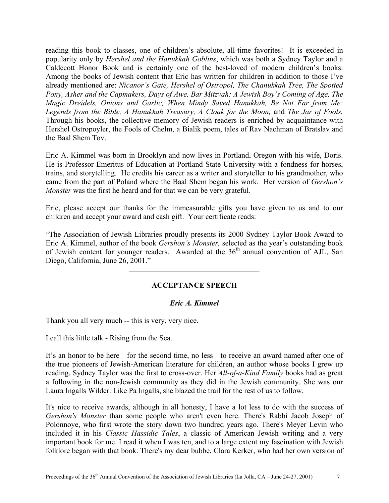reading this book to classes, one of children's absolute, all-time favorites! It is exceeded in popularity only by *Hershel and the Hanukkah Goblins*, which was both a Sydney Taylor and a Caldecott Honor Book and is certainly one of the best-loved of modern children's books. Among the books of Jewish content that Eric has written for children in addition to those I've already mentioned are: *Nicanor's Gate, Hershel of Ostropol, The Chanukkah Tree, The Spotted Pony, Asher and the Capmakers, Days of Awe, Bar Mitzvah: A Jewish Boy's Coming of Age, The Magic Dreidels, Onions and Garlic, When Mindy Saved Hanukkah, Be Not Far from Me:*  Legends from the Bible, A Hanukkah Treasury, A Cloak for the Moon, and The Jar of Fools. Through his books, the collective memory of Jewish readers is enriched by acquaintance with Hershel Ostropoyler, the Fools of Chelm, a Bialik poem, tales of Rav Nachman of Bratslav and the Baal Shem Tov.

Eric A. Kimmel was born in Brooklyn and now lives in Portland, Oregon with his wife, Doris. He is Professor Emeritus of Education at Portland State University with a fondness for horses, trains, and storytelling. He credits his career as a writer and storyteller to his grandmother, who came from the part of Poland where the Baal Shem began his work. Her version of *Gershon's Monster* was the first he heard and for that we can be very grateful.

Eric, please accept our thanks for the immeasurable gifts you have given to us and to our children and accept your award and cash gift. Your certificate reads:

"The Association of Jewish Libraries proudly presents its 2000 Sydney Taylor Book Award to Eric A. Kimmel, author of the book *Gershon's Monster,* selected as the year's outstanding book of Jewish content for younger readers. Awarded at the  $36<sup>th</sup>$  annual convention of AJL, San Diego, California, June 26, 2001."

# **ACCEPTANCE SPEECH**

**\_\_\_\_\_\_\_\_\_\_\_\_\_\_\_\_\_\_\_\_\_\_\_\_\_\_\_\_\_\_\_\_\_\_\_\_\_\_\_\_\_**

### *Eric A. Kimmel*

Thank you all very much -- this is very, very nice.

I call this little talk - Rising from the Sea.

It's an honor to be here—for the second time, no less—to receive an award named after one of the true pioneers of Jewish-American literature for children, an author whose books I grew up reading. Sydney Taylor was the first to cross-over. Her *All-of-a-Kind Family* books had as great a following in the non-Jewish community as they did in the Jewish community. She was our Laura Ingalls Wilder. Like Pa Ingalls, she blazed the trail for the rest of us to follow.

It's nice to receive awards, although in all honesty, I have a lot less to do with the success of *Gershon's Monster* than some people who aren't even here. There's Rabbi Jacob Joseph of Polonnoye, who first wrote the story down two hundred years ago. There's Meyer Levin who included it in his *Classic Hassidic Tales*, a classic of American Jewish writing and a very important book for me. I read it when I was ten, and to a large extent my fascination with Jewish folklore began with that book. There's my dear bubbe, Clara Kerker, who had her own version of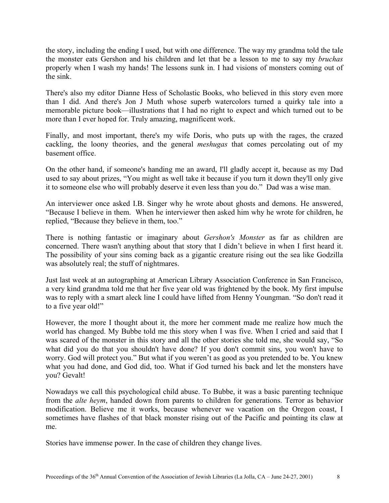the story, including the ending I used, but with one difference. The way my grandma told the tale the monster eats Gershon and his children and let that be a lesson to me to say my *bruchas* properly when I wash my hands! The lessons sunk in. I had visions of monsters coming out of the sink.

There's also my editor Dianne Hess of Scholastic Books, who believed in this story even more than I did. And there's Jon J Muth whose superb watercolors turned a quirky tale into a memorable picture book—illustrations that I had no right to expect and which turned out to be more than I ever hoped for. Truly amazing, magnificent work.

Finally, and most important, there's my wife Doris, who puts up with the rages, the crazed cackling, the loony theories, and the general *meshugas* that comes percolating out of my basement office.

On the other hand, if someone's handing me an award, I'll gladly accept it, because as my Dad used to say about prizes, "You might as well take it because if you turn it down they'll only give it to someone else who will probably deserve it even less than you do." Dad was a wise man.

An interviewer once asked I.B. Singer why he wrote about ghosts and demons. He answered, "Because I believe in them. When he interviewer then asked him why he wrote for children, he replied, "Because they believe in them, too."

There is nothing fantastic or imaginary about *Gershon's Monster* as far as children are concerned. There wasn't anything about that story that I didn't believe in when I first heard it. The possibility of your sins coming back as a gigantic creature rising out the sea like Godzilla was absolutely real; the stuff of nightmares.

Just last week at an autographing at American Library Association Conference in San Francisco, a very kind grandma told me that her five year old was frightened by the book. My first impulse was to reply with a smart aleck line I could have lifted from Henny Youngman. "So don't read it to a five year old!"

However, the more I thought about it, the more her comment made me realize how much the world has changed. My Bubbe told me this story when I was five. When I cried and said that I was scared of the monster in this story and all the other stories she told me, she would say, "So what did you do that you shouldn't have done? If you don't commit sins, you won't have to worry. God will protect you." But what if you weren't as good as you pretended to be. You knew what you had done, and God did, too. What if God turned his back and let the monsters have you? Gevalt!

Nowadays we call this psychological child abuse. To Bubbe, it was a basic parenting technique from the *alte heym*, handed down from parents to children for generations. Terror as behavior modification. Believe me it works, because whenever we vacation on the Oregon coast, I sometimes have flashes of that black monster rising out of the Pacific and pointing its claw at me.

Stories have immense power. In the case of children they change lives.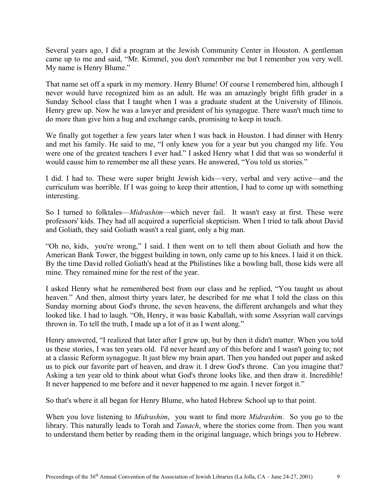Several years ago, I did a program at the Jewish Community Center in Houston. A gentleman came up to me and said, "Mr. Kimmel, you don't remember me but I remember you very well. My name is Henry Blume."

That name set off a spark in my memory. Henry Blume! Of course I remembered him, although I never would have recognized him as an adult. He was an amazingly bright fifth grader in a Sunday School class that I taught when I was a graduate student at the University of Illinois. Henry grew up. Now he was a lawyer and president of his synagogue. There wasn't much time to do more than give him a hug and exchange cards, promising to keep in touch.

We finally got together a few years later when I was back in Houston. I had dinner with Henry and met his family. He said to me, "I only knew you for a year but you changed my life. You were one of the greatest teachers I ever had." I asked Henry what I did that was so wonderful it would cause him to remember me all these years. He answered, "You told us stories."

I did. I had to. These were super bright Jewish kids—very, verbal and very active—and the curriculum was horrible. If I was going to keep their attention, I had to come up with something interesting.

So I turned to folktales—*Midrashim*—which never fail. It wasn't easy at first. These were professors' kids. They had all acquired a superficial skepticism. When I tried to talk about David and Goliath, they said Goliath wasn't a real giant, only a big man.

"Oh no, kids, you're wrong," I said. I then went on to tell them about Goliath and how the American Bank Tower, the biggest building in town, only came up to his knees. I laid it on thick. By the time David rolled Goliath's head at the Philistines like a bowling ball, those kids were all mine. They remained mine for the rest of the year.

I asked Henry what he remembered best from our class and he replied, "You taught us about heaven." And then, almost thirty years later, he described for me what I told the class on this Sunday morning about God's throne, the seven heavens, the different archangels and what they looked like. I had to laugh. "Oh, Henry, it was basic Kaballah, with some Assyrian wall carvings thrown in. To tell the truth, I made up a lot of it as I went along."

Henry answered, "I realized that later after I grew up, but by then it didn't matter. When you told us these stories, I was ten years old. I'd never heard any of this before and I wasn't going to; not at a classic Reform synagogue. It just blew my brain apart. Then you handed out paper and asked us to pick our favorite part of heaven, and draw it. I drew God's throne. Can you imagine that? Asking a ten year old to think about what God's throne looks like, and then draw it. Incredible! It never happened to me before and it never happened to me again. I never forgot it."

So that's where it all began for Henry Blume, who hated Hebrew School up to that point.

When you love listening to *Midrashim*, you want to find more *Midrashim*. So you go to the library. This naturally leads to Torah and *Tanach*, where the stories come from. Then you want to understand them better by reading them in the original language, which brings you to Hebrew.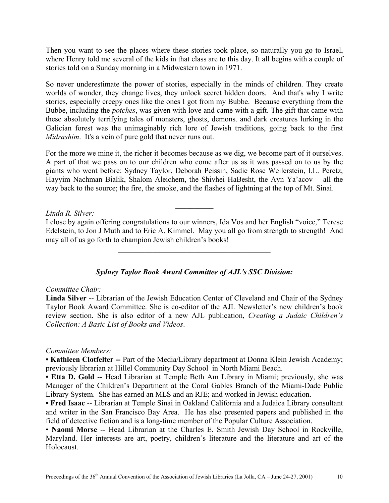Then you want to see the places where these stories took place, so naturally you go to Israel, where Henry told me several of the kids in that class are to this day. It all begins with a couple of stories told on a Sunday morning in a Midwestern town in 1971.

So never underestimate the power of stories, especially in the minds of children. They create worlds of wonder, they change lives, they unlock secret hidden doors. And that's why I write stories, especially creepy ones like the ones I got from my Bubbe. Because everything from the Bubbe, including the *potches*, was given with love and came with a gift. The gift that came with these absolutely terrifying tales of monsters, ghosts, demons. and dark creatures lurking in the Galician forest was the unimaginably rich lore of Jewish traditions, going back to the first *Midrashim*. It's a vein of pure gold that never runs out.

For the more we mine it, the richer it becomes because as we dig, we become part of it ourselves. A part of that we pass on to our children who come after us as it was passed on to us by the giants who went before: Sydney Taylor, Deborah Peissin, Sadie Rose Weilerstein, I.L. Peretz, Hayyim Nachman Bialik, Shalom Aleichem, the Shivhei HaBesht, the Ayn Ya'acov— all the way back to the source; the fire, the smoke, and the flashes of lightning at the top of Mt. Sinai.

#### *Linda R. Silver:*

I close by again offering congratulations to our winners, Ida Vos and her English "voice," Terese Edelstein, to Jon J Muth and to Eric A. Kimmel. May you all go from strength to strength! And may all of us go forth to champion Jewish children's books!

 $\mathcal{L}_\text{max}$  , and the set of the set of the set of the set of the set of the set of the set of the set of the set of the set of the set of the set of the set of the set of the set of the set of the set of the set of the

 $\frac{1}{2}$ 

### *Sydney Taylor Book Award Committee of AJL's SSC Division:*

#### *Committee Chair:*

**Linda Silver** -- Librarian of the Jewish Education Center of Cleveland and Chair of the Sydney Taylor Book Award Committee. She is co-editor of the AJL Newsletter's new children's book review section. She is also editor of a new AJL publication, *Creating a Judaic Children's Collection: A Basic List of Books and Videos*.

### *Committee Members:*

**• Kathleen Clotfelter --** Part of the Media/Library department at Donna Klein Jewish Academy; previously librarian at Hillel Community Day School in North Miami Beach.

**• Etta D. Gold** -- Head Librarian at Temple Beth Am Library in Miami; previously, she was Manager of the Children's Department at the Coral Gables Branch of the Miami-Dade Public Library System. She has earned an MLS and an RJE; and worked in Jewish education.

**• Fred Isaac** -- Librarian at Temple Sinai in Oakland California and a Judaica Library consultant and writer in the San Francisco Bay Area. He has also presented papers and published in the field of detective fiction and is a long-time member of the Popular Culture Association.

• **Naomi Morse** -- Head Librarian at the Charles E. Smith Jewish Day School in Rockville, Maryland. Her interests are art, poetry, children's literature and the literature and art of the Holocaust.